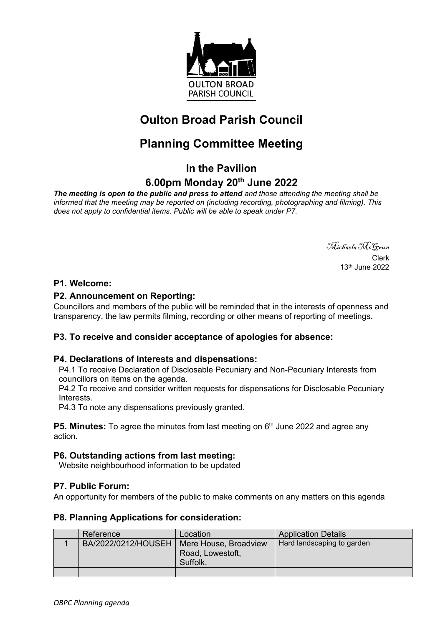

## **Oulton Broad Parish Council**

# **Planning Committee Meeting**

### **In the Pavilion**

## **6.00pm Monday 20th June 2022**

*The meeting is open to the public and press to attend and those attending the meeting shall be informed that the meeting may be reported on (including recording, photographing and filming). This does not apply to confidential items. Public will be able to speak under P7.*

> Michaela McGoun Clerk 13th June 2022

### **P1. Welcome:**

### **P2. Announcement on Reporting:**

Councillors and members of the public will be reminded that in the interests of openness and transparency, the law permits filming, recording or other means of reporting of meetings.

#### **P3. To receive and consider acceptance of apologies for absence:**

#### **P4. Declarations of Interests and dispensations:**

P4.1 To receive Declaration of Disclosable Pecuniary and Non-Pecuniary Interests from councillors on items on the agenda.

P4.2 To receive and consider written requests for dispensations for Disclosable Pecuniary Interests.

P4.3 To note any dispensations previously granted.

**P5. Minutes:** To agree the minutes from last meeting on 6<sup>th</sup> June 2022 and agree any action.

#### **P6. Outstanding actions from last meeting:**

Website neighbourhood information to be updated

#### **P7. Public Forum:**

An opportunity for members of the public to make comments on any matters on this agenda

#### **P8. Planning Applications for consideration:**

| Reference           | Location                                              | <b>Application Details</b> |
|---------------------|-------------------------------------------------------|----------------------------|
| BA/2022/0212/HOUSEH | Mere House, Broadview<br>Road, Lowestoft,<br>Suffolk. | Hard landscaping to garden |
|                     |                                                       |                            |